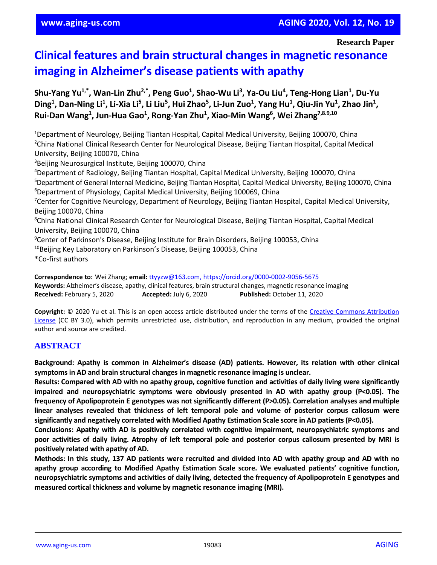# **Clinical features and brain structural changes in magnetic resonance imaging in Alzheimer's disease patients with apathy**

**Shu-Yang Yu1,\*, Wan-Lin Zhu2,\*, Peng Guo<sup>1</sup> , Shao-Wu Li<sup>3</sup> , Ya-Ou Liu<sup>4</sup> , Teng-Hong Lian<sup>1</sup> , Du-Yu**  Ding<sup>1</sup>, Dan-Ning Li<sup>1</sup>, Li-Xia Li<sup>5</sup>, Li Liu<sup>5</sup>, Hui Zhao<sup>5</sup>, Li-Jun Zuo<sup>1</sup>, Yang Hu<sup>1</sup>, Qiu-Jin Yu<sup>1</sup>, Zhao Jin<sup>1</sup>, **Rui-Dan Wang<sup>1</sup> , Jun-Hua Gao<sup>1</sup> , Rong-Yan Zhu<sup>1</sup> , Xiao-Min Wang<sup>6</sup> , Wei Zhang7,8.9,10**

<sup>1</sup>Department of Neurology, Beijing Tiantan Hospital, Capital Medical University, Beijing 100070, China <sup>2</sup>China National Clinical Research Center for Neurological Disease, Beijing Tiantan Hospital, Capital Medical University, Beijing 100070, China <sup>3</sup>Beijing Neurosurgical Institute, Beijing 100070, China

<sup>4</sup>Department of Radiology, Beijing Tiantan Hospital, Capital Medical University, Beijing 100070, China <sup>5</sup>Department of General Internal Medicine, Beijing Tiantan Hospital, Capital Medical University, Beijing 100070, China <sup>6</sup>Department of Physiology, Capital Medical University, Beijing 100069, China <sup>7</sup>Center for Cognitive Neurology, Department of Neurology, Beijing Tiantan Hospital, Capital Medical University, Beijing 100070, China <sup>8</sup>China National Clinical Research Center for Neurological Disease, Beijing Tiantan Hospital, Capital Medical University, Beijing 100070, China <sup>9</sup>Center of Parkinson's Disease, Beijing Institute for Brain Disorders, Beijing 100053, China <sup>10</sup>Beijing Key Laboratory on Parkinson's Disease, Beijing 100053, China \*Co-first authors

**Correspondence to:** Wei Zhang; **email:** [ttyyzw@163.com,](mailto:ttyyzw@163.com) https://orcid.org/0000-0002-9056-5675 **Keywords:** Alzheimer's disease, apathy, clinical features, brain structural changes, magnetic resonance imaging **Received:** February 5, 2020 **Accepted:** July 6, 2020 **Published:** October 11, 2020

**Copyright:** © 2020 Yu et al. This is an open access article distributed under the terms of the [Creative Commons Attribution](https://creativecommons.org/licenses/by/3.0/)  [License](https://creativecommons.org/licenses/by/3.0/) (CC BY 3.0), which permits unrestricted use, distribution, and reproduction in any medium, provided the original author and source are credited.

# **ABSTRACT**

**Background: Apathy is common in Alzheimer's disease (AD) patients. However, its relation with other clinical symptoms in AD and brain structural changesin magnetic resonance imaging is unclear.** 

Results: Compared with AD with no apathy group, cognitive function and activities of daily living were significantly **impaired and neuropsychiatric symptoms were obviously presented in AD with apathy group (P<0.05). The frequency of Apolipoprotein E genotypes was not significantly different (P>0.05). Correlation analyses and multiple linear analyses revealed that thickness of left temporal pole and volume of posterior corpus callosum were significantly and negatively correlated with Modified Apathy Estimation Scale score in AD patients(P<0.05).**

**Conclusions: Apathy with AD is positively correlated with cognitive impairment, neuropsychiatric symptoms and** poor activities of daily living. Atrophy of left temporal pole and posterior corpus callosum presented by MRI is **positively related with apathy of AD.**

Methods: In this study, 137 AD patients were recruited and divided into AD with apathy group and AD with no **apathy group according to Modified Apathy Estimation Scale score. We evaluated patients' cognitive function, neuropsychiatric symptoms and activities of daily living, detected the frequency of Apolipoprotein E genotypes and measured cortical thickness and volume by magnetic resonance imaging (MRI).**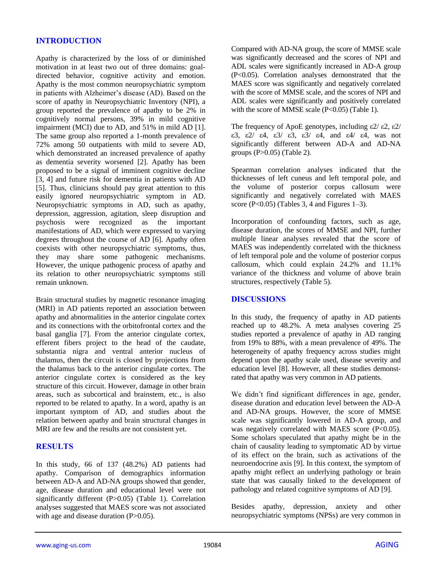# **INTRODUCTION**

Apathy is characterized by the loss of or diminished motivation in at least two out of three domains: goaldirected behavior, cognitive activity and emotion. Apathy is the most common neuropsychiatric symptom in patients with Alzheimer's disease (AD). Based on the score of apathy in Neuropsychiatric Inventory (NPI), a group reported the prevalence of apathy to be 2% in cognitively normal persons, 39% in mild cognitive impairment (MCI) due to AD, and 51% in mild AD [1]. The same group also reported a 1-month prevalence of 72% among 50 outpatients with mild to severe AD, which demonstrated an increased prevalence of apathy as dementia severity worsened [2]. Apathy has been proposed to be a signal of imminent cognitive decline [3, 4] and future risk for dementia in patients with AD [5]. Thus, clinicians should pay great attention to this easily ignored neuropsychiatric symptom in AD. Neuropsychiatric symptoms in AD, such as apathy, depression, aggression, agitation, sleep disruption and psychosis were recognized as the important manifestations of AD, which were expressed to varying degrees throughout the course of AD [6]. Apathy often coexists with other neuropsychiatric symptoms, thus, they may share some pathogenic mechanisms. However, the unique pathogenic process of apathy and its relation to other neuropsychiatric symptoms still remain unknown.

Brain structural studies by magnetic resonance imaging (MRI) in AD patients reported an association between apathy and abnormalities in the anterior cingulate cortex and its connections with the orbitofrontal cortex and the basal ganglia [7]. From the anterior cingulate cortex, efferent fibers project to the head of the caudate, substantia nigra and ventral anterior nucleus of thalamus, then the circuit is closed by projections from the thalamus back to the anterior cingulate cortex. The anterior cingulate cortex is considered as the key structure of this circuit. However, damage in other brain areas, such as subcortical and brainstem, etc., is also reported to be related to apathy. In a word, apathy is an important symptom of AD, and studies about the relation between apathy and brain structural changes in MRI are few and the results are not consistent yet.

## **RESULTS**

In this study, 66 of 137 (48.2%) AD patients had apathy. Comparison of demographics information between AD-A and AD-NA groups showed that gender, age, disease duration and educational level were not significantly different (P>0.05) (Table 1). Correlation analyses suggested that MAES score was not associated with age and disease duration (P>0.05).

Compared with AD-NA group, the score of MMSE scale was significantly decreased and the scores of NPI and ADL scales were significantly increased in AD-A group (P<0.05). Correlation analyses demonstrated that the MAES score was significantly and negatively correlated with the score of MMSE scale, and the scores of NPI and ADL scales were significantly and positively correlated with the score of MMSE scale  $(P<0.05)$  (Table 1).

The frequency of ApoE genotypes, including  $\epsilon$ 2/ $\epsilon$ 2,  $\epsilon$ 2/ ε3, ε2/ ε4, ε3/ ε3, ε3/ ε4, and ε4/ ε4, was not significantly different between AD-A and AD-NA groups (P>0.05) (Table 2).

Spearman correlation analyses indicated that the thicknesses of left cuneus and left temporal pole, and the volume of posterior corpus callosum were significantly and negatively correlated with MAES score (P<0.05) (Tables 3, 4 and Figures 1–3).

Incorporation of confounding factors, such as age, disease duration, the scores of MMSE and NPI, further multiple linear analyses revealed that the score of MAES was independently correlated with the thickness of left temporal pole and the volume of posterior corpus callosum, which could explain 24.2% and 11.1% variance of the thickness and volume of above brain structures, respectively (Table 5).

## **DISCUSSIONS**

In this study, the frequency of apathy in AD patients reached up to 48.2%. A meta analyses covering 25 studies reported a prevalence of apathy in AD ranging from 19% to 88%, with a mean prevalence of 49%. The heterogeneity of apathy frequency across studies might depend upon the apathy scale used, disease severity and education level [8]. However, all these studies demonstrated that apathy was very common in AD patients.

We didn't find significant differences in age, gender, disease duration and education level between the AD-A and AD-NA groups. However, the score of MMSE scale was significantly lowered in AD-A group, and was negatively correlated with MAES score (P<0.05). Some scholars speculated that apathy might be in the chain of causality leading to symptomatic AD by virtue of its effect on the brain, such as activations of the neuroendocrine axis [9]. In this context, the symptom of apathy might reflect an underlying pathology or brain state that was causally linked to the development of pathology and related cognitive symptoms of AD [9].

Besides apathy, depression, anxiety and other neuropsychiatric symptoms (NPSs) are very common in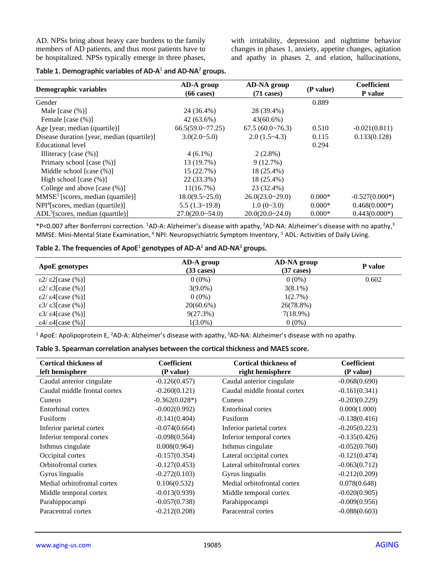AD. NPSs bring about heavy care burdens to the family members of AD patients, and thus most patients have to be hospitalized. NPSs typically emerge in three phases, with irritability, depression and nighttime behavior changes in phases 1, anxiety, appetite changes, agitation and apathy in phases 2, and elation, hallucinations,

| Demographic variables                      | <b>AD-NA</b> group<br>AD-A group |                      | (P value) | Coefficient      |
|--------------------------------------------|----------------------------------|----------------------|-----------|------------------|
|                                            | $(66 \text{ cases})$             | $(71 \text{ cases})$ |           | P value          |
| Gender                                     |                                  |                      | 0.889     |                  |
| Male $[case (%)]$                          | 24 (36.4%)                       | 28 (39.4%)           |           |                  |
| Female [case $(\%)$ ]                      | 42 (63.6%)                       | $43(60.6\%)$         |           |                  |
| Age [year, median (quartile)]              | 66.5(59.0~77.25)                 | 67.5(60.0~76.3)      | 0.510     | $-0.021(0.811)$  |
| Disease duration [year, median (quartile)] | $3.0(2.0-5.0)$                   | $2.0(1.5-4.3)$       | 0.115     | 0.133(0.128)     |
| Educational level                          |                                  |                      | 0.294     |                  |
| Illiteracy [case $(\%)$ ]                  | $4(6.1\%)$                       | $2(2.8\%)$           |           |                  |
| Primary school [case (%)]                  | 13 (19.7%)                       | 9(12.7%)             |           |                  |
| Middle school $[case (%)]$                 | 15 (22.7%)                       | 18 (25.4%)           |           |                  |
| High school [case $(\%)$ ]                 | 22 (33.3%)                       | 18 (25.4%)           |           |                  |
| College and above $[case (%)]$             | 11(16.7%)                        | 23 (32.4%)           |           |                  |
| $MMSE3$ [scores, median (quartile)]        | $18.0(9.5 \times 25.0)$          | $26.0(23.0-29.0)$    | $0.000*$  | $-0.527(0.000*)$ |
| $NPI4$ [scores, median (quartile)]         | 5.5(1.3~19.8)                    | $1.0(0-3.0)$         | $0.000*$  | $0.468(0.000*)$  |
| $ADL5[scores, median (quartile)]$          | $27.0(20.0 - 54.0)$              | 20.0(20.0~24.0)      | $0.000*$  | $0.443(0.000*)$  |

#### **Table 1. Demographic variables of AD-A** <sup>1</sup> **and AD-NA**<sup>2</sup> **groups.**

\*P<0.007 after Bonferroni correction. <sup>1</sup>AD-A: Alzheimer's disease with apathy, <sup>2</sup>AD-NA: Alzheimer's disease with no apathy,<sup>3</sup> MMSE: Mini-Mental State Examination, <sup>4</sup> NPI: Neuropsychiatric Symptom Inventory, <sup>5</sup> ADL: Activities of Daily Living.

#### **Table 2. The frequencies of ApoE**<sup>1</sup> **genotypes of AD-A** <sup>2</sup> **and AD-NA**<sup>3</sup> **groups.**

| ApoE genotypes                       | AD-A group<br>$(33 \text{ cases})$ | AD-NA group<br>$(37 \text{ cases})$ | P value |
|--------------------------------------|------------------------------------|-------------------------------------|---------|
| $\epsilon$ 2/ $\epsilon$ 2[case (%)] | $0(0\%)$                           | $0(0\%)$                            | 0.602   |
| $\epsilon$ 2/ $\epsilon$ 3[case (%)] | $3(9.0\%)$                         | $3(8.1\%)$                          |         |
| $\epsilon$ 2/ $\epsilon$ 4[case (%)] | $0(0\%)$                           | $1(2.7\%)$                          |         |
| $\epsilon$ 3/ $\epsilon$ 3[case (%)] | $20(60.6\%)$                       | 26(78.8%)                           |         |
| $\epsilon$ 3/ $\epsilon$ 4[case (%)] | 9(27.3%)                           | $7(18.9\%)$                         |         |
| $\epsilon$ 4/ $\epsilon$ 4[case (%)] | $1(3.0\%)$                         | $0(0\%)$                            |         |

<sup>1</sup> ApoE: Apolipoprotein E, <sup>2</sup>AD-A: Alzheimer's disease with apathy, <sup>3</sup>AD-NA: Alzheimer's disease with no apathy.

# **Table 3. Spearman correlation analyses between the cortical thickness and MAES score.**

| <b>Cortical thickness of</b><br>left hemisphere | <b>Coefficient</b><br>(P value) | <b>Cortical thickness of</b><br>right hemisphere | <b>Coefficient</b><br>(P value) |
|-------------------------------------------------|---------------------------------|--------------------------------------------------|---------------------------------|
| Caudal anterior cingulate                       | $-0.126(0.457)$                 | Caudal anterior cingulate                        | $-0.068(0.690)$                 |
| Caudal middle frontal cortex                    | $-0.260(0.121)$                 | Caudal middle frontal cortex                     | $-0.161(0.341)$                 |
| Cuneus                                          | $-0.362(0.028*)$                | Cuneus                                           | $-0.203(0.229)$                 |
| Entorhinal cortex                               | $-0.002(0.992)$                 | Entorhinal cortex                                | 0.000(1.000)                    |
| Fusiform                                        | $-0.141(0.404)$                 | Fusiform                                         | $-0.138(0.416)$                 |
| Inferior parietal cortex                        | $-0.074(0.664)$                 | Inferior parietal cortex                         | $-0.205(0.223)$                 |
| Inferior temporal cortex                        | $-0.098(0.564)$                 | Inferior temporal cortex                         | $-0.135(0.426)$                 |
| Isthmus cingulate                               | 0.008(0.964)                    | Isthmus cingulate                                | $-0.052(0.760)$                 |
| Occipital cortex                                | $-0.157(0.354)$                 | Lateral occipital cortex                         | $-0.121(0.474)$                 |
| Orbitofrontal cortex                            | $-0.127(0.453)$                 | Lateral orbitofrontal cortex                     | $-0.063(0.712)$                 |
| Gyrus lingualis                                 | $-0.272(0.103)$                 | Gyrus lingualis                                  | $-0.212(0.209)$                 |
| Medial orbitofrontal cortex                     | 0.106(0.532)                    | Medial orbitofrontal cortex                      | 0.078(0.648)                    |
| Middle temporal cortex                          | $-0.013(0.939)$                 | Middle temporal cortex                           | $-0.020(0.905)$                 |
| Parahippocampi                                  | $-0.057(0.738)$                 | Parahippocampi                                   | $-0.009(0.956)$                 |
| Paracentral cortex                              | $-0.212(0.208)$                 | Paracentral cortex                               | $-0.088(0.603)$                 |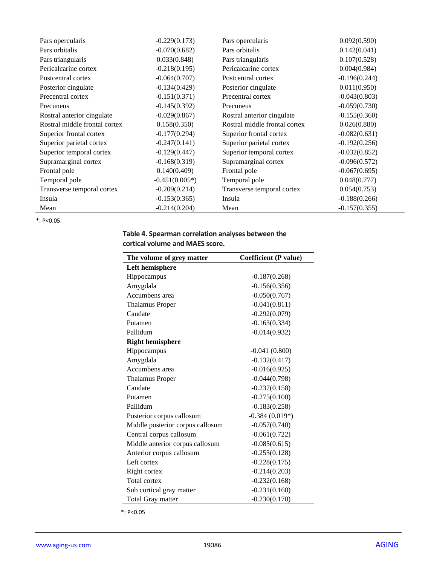| Pars opercularis              | $-0.229(0.173)$  | Pars opercularis              | 0.092(0.590)    |
|-------------------------------|------------------|-------------------------------|-----------------|
| Pars orbitalis                | $-0.070(0.682)$  | Pars orbitalis                | 0.142(0.041)    |
| Pars triangularis             | 0.033(0.848)     | Pars triangularis             | 0.107(0.528)    |
| Pericalcarine cortex          | $-0.218(0.195)$  | Pericalcarine cortex          | 0.004(0.984)    |
| Postcentral cortex            | $-0.064(0.707)$  | Postcentral cortex            | $-0.196(0.244)$ |
| Posterior cingulate           | $-0.134(0.429)$  | Posterior cingulate           | 0.011(0.950)    |
| Precentral cortex             | $-0.151(0.371)$  | Precentral cortex             | $-0.043(0.803)$ |
| Precuneus                     | $-0.145(0.392)$  | Precuneus                     | $-0.059(0.730)$ |
| Rostral anterior cingulate    | $-0.029(0.867)$  | Rostral anterior cingulate    | $-0.155(0.360)$ |
| Rostral middle frontal cortex | 0.158(0.350)     | Rostral middle frontal cortex | 0.026(0.880)    |
| Superior frontal cortex       | $-0.177(0.294)$  | Superior frontal cortex       | $-0.082(0.631)$ |
| Superior parietal cortex      | $-0.247(0.141)$  | Superior parietal cortex      | $-0.192(0.256)$ |
| Superior temporal cortex      | $-0.129(0.447)$  | Superior temporal cortex      | $-0.032(0.852)$ |
| Supramarginal cortex          | $-0.168(0.319)$  | Supramarginal cortex          | $-0.096(0.572)$ |
| Frontal pole                  | 0.140(0.409)     | Frontal pole                  | $-0.067(0.695)$ |
| Temporal pole                 | $-0.451(0.005*)$ | Temporal pole                 | 0.048(0.777)    |
| Transverse temporal cortex    | $-0.209(0.214)$  | Transverse temporal cortex    | 0.054(0.753)    |
| Insula                        | $-0.153(0.365)$  | Insula                        | $-0.188(0.266)$ |
| Mean                          | $-0.214(0.204)$  | Mean                          | $-0.157(0.355)$ |

\*: P<0.05.

# **Table 4. Spearman correlation analyses between the cortical volume and MAES score.**

| The volume of grey matter        | <b>Coefficient (P value)</b> |  |  |
|----------------------------------|------------------------------|--|--|
| <b>Left hemisphere</b>           |                              |  |  |
| Hippocampus                      | $-0.187(0.268)$              |  |  |
| Amygdala                         | $-0.156(0.356)$              |  |  |
| Accumbens area                   | $-0.050(0.767)$              |  |  |
| <b>Thalamus Proper</b>           | $-0.041(0.811)$              |  |  |
| Caudate                          | $-0.292(0.079)$              |  |  |
| Putamen                          | $-0.163(0.334)$              |  |  |
| Pallidum                         | $-0.014(0.932)$              |  |  |
| <b>Right hemisphere</b>          |                              |  |  |
| Hippocampus                      | $-0.041(0.800)$              |  |  |
| Amygdala                         | $-0.132(0.417)$              |  |  |
| Accumbens area                   | $-0.016(0.925)$              |  |  |
| <b>Thalamus Proper</b>           | $-0.044(0.798)$              |  |  |
| Caudate                          | $-0.237(0.158)$              |  |  |
| Putamen                          | $-0.275(0.100)$              |  |  |
| Pallidum                         | $-0.183(0.258)$              |  |  |
| Posterior corpus callosum        | $-0.384(0.019*)$             |  |  |
| Middle posterior corpus callosum | $-0.057(0.740)$              |  |  |
| Central corpus callosum          | $-0.061(0.722)$              |  |  |
| Middle anterior corpus callosum  | $-0.085(0.615)$              |  |  |
| Anterior corpus callosum         | $-0.255(0.128)$              |  |  |
| Left cortex                      | $-0.228(0.175)$              |  |  |
| Right cortex                     | $-0.214(0.203)$              |  |  |
| <b>Total cortex</b>              | $-0.232(0.168)$              |  |  |
| Sub cortical gray matter         | $-0.231(0.168)$              |  |  |
| <b>Total Gray matter</b>         | $-0.230(0.170)$              |  |  |

\*: P<0.05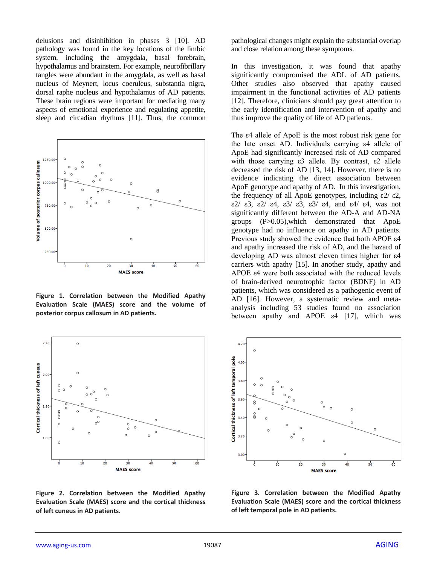delusions and disinhibition in phases 3 [10]. AD pathology was found in the key locations of the limbic system, including the amygdala, basal forebrain, hypothalamus and brainstem. For example, neurofibrillary tangles were abundant in the amygdala, as well as basal nucleus of Meynert, locus coeruleus, substantia nigra, dorsal raphe nucleus and hypothalamus of AD patients. These brain regions were important for mediating many aspects of emotional experience and regulating appetite, sleep and circadian rhythms [11]. Thus, the common



**Figure 1. Correlation between the Modified Apathy Evaluation Scale (MAES) score and the volume of posterior corpus callosum in AD patients.**



**Figure 2. Correlation between the Modified Apathy Evaluation Scale (MAES) score and the cortical thickness of left cuneus in AD patients.**

pathological changes might explain the substantial overlap and close relation among these symptoms.

In this investigation, it was found that apathy significantly compromised the ADL of AD patients. Other studies also observed that apathy caused impairment in the functional activities of AD patients [12]. Therefore, clinicians should pay great attention to the early identification and intervention of apathy and thus improve the quality of life of AD patients.

The ε4 allele of ApoE is the most robust risk gene for the late onset AD. Individuals carrying ε4 allele of ApoE had significantly increased risk of AD compared with those carrying ε3 allele. By contrast, ε2 allele decreased the risk of AD [13, 14]. However, there is no evidence indicating the direct association between ApoE genotype and apathy of AD. In this investigation, the frequency of all ApoE genotypes, including  $\epsilon$ 2/ $\epsilon$ 2, ε2/ ε3, ε2/ ε4, ε3/ ε3, ε3/ ε4, and ε4/ ε4, was not significantly different between the AD-A and AD-NA groups (P>0.05),which demonstrated that ApoE genotype had no influence on apathy in AD patients. Previous study showed the evidence that both APOE ε4 and apathy increased the risk of AD, and the hazard of developing AD was almost eleven times higher for ε4 carriers with apathy [15]. In another study, apathy and APOE ε4 were both associated with the reduced levels of brain-derived neurotrophic factor (BDNF) in AD patients, which was considered as a pathogenic event of AD [16]. However, a systematic review and metaanalysis including 53 studies found no association between apathy and APOE  $\varepsilon$ 4 [17], which was



**Figure 3. Correlation between the Modified Apathy Evaluation Scale (MAES) score and the cortical thickness of left temporal pole in AD patients.**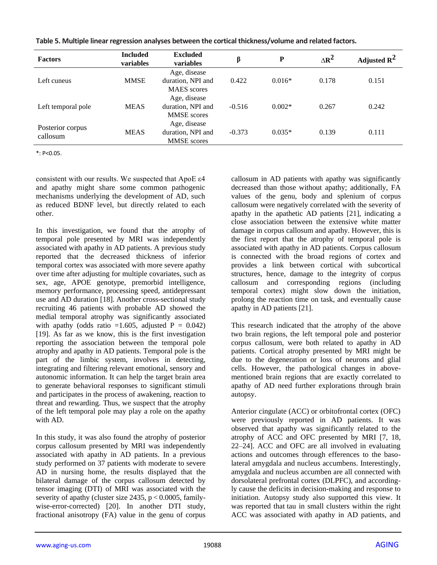| <b>Factors</b>               | <b>Included</b><br>variables | <b>Excluded</b><br>variables                            | β        | ${\bf P}$ | $\Delta R^2$ | Adjusted $\mathbb{R}^2$ |
|------------------------------|------------------------------|---------------------------------------------------------|----------|-----------|--------------|-------------------------|
| Left cuneus                  | <b>MMSE</b>                  | Age, disease<br>duration, NPI and<br><b>MAES</b> scores | 0.422    | $0.016*$  | 0.178        | 0.151                   |
| Left temporal pole           | <b>MEAS</b>                  | Age, disease<br>duration, NPI and<br><b>MMSE</b> scores | $-0.516$ | $0.002*$  | 0.267        | 0.242                   |
| Posterior corpus<br>callosum | <b>MEAS</b>                  | Age, disease<br>duration, NPI and<br><b>MMSE</b> scores | $-0.373$ | $0.035*$  | 0.139        | 0.111                   |

| Table 5. Multiple linear regression analyses between the cortical thickness/volume and related factors. |  |  |  |  |
|---------------------------------------------------------------------------------------------------------|--|--|--|--|
|---------------------------------------------------------------------------------------------------------|--|--|--|--|

\*: P<0.05.

consistent with our results. We suspected that ApoE ε4 and apathy might share some common pathogenic mechanisms underlying the development of AD, such as reduced BDNF level, but directly related to each other.

In this investigation, we found that the atrophy of temporal pole presented by MRI was independently associated with apathy in AD patients. A previous study reported that the decreased thickness of inferior temporal cortex was associated with more severe apathy over time after adjusting for multiple covariates, such as sex, age, APOE genotype, premorbid intelligence, memory performance, processing speed, antidepressant use and AD duration [18]. Another cross-sectional study recruiting 46 patients with probable AD showed the medial temporal atrophy was significantly associated with apathy (odds ratio =1.605, adjusted  $P = 0.042$ ) [19]. As far as we know, this is the first investigation reporting the association between the temporal pole atrophy and apathy in AD patients. Temporal pole is the part of the limbic system, involves in detecting, integrating and filtering relevant emotional, sensory and autonomic information. It can help the target brain area to generate behavioral responses to significant stimuli and participates in the process of awakening, reaction to threat and rewarding. Thus, we suspect that the atrophy of the left temporal pole may play a role on the apathy with AD.

In this study, it was also found the atrophy of posterior corpus callosum presented by MRI was independently associated with apathy in AD patients. In a previous study performed on 37 patients with moderate to severe AD in nursing home, the results displayed that the bilateral damage of the corpus callosum detected by tensor imaging (DTI) of MRI was associated with the severity of apathy (cluster size 2435, p < 0.0005, familywise-error-corrected) [20]. In another DTI study, fractional anisotropy (FA) value in the genu of corpus callosum in AD patients with apathy was significantly decreased than those without apathy; additionally, FA values of the genu, body and splenium of corpus callosum were negatively correlated with the severity of apathy in the apathetic AD patients [21], indicating a close association between the extensive white matter damage in corpus callosum and apathy. However, this is the first report that the atrophy of temporal pole is associated with apathy in AD patients. Corpus callosum is connected with the broad regions of cortex and provides a link between cortical with subcortical structures, hence, damage to the integrity of corpus callosum and corresponding regions (including temporal cortex) might slow down the initiation, prolong the reaction time on task, and eventually cause apathy in AD patients [21].

This research indicated that the atrophy of the above two brain regions, the left temporal pole and posterior corpus callosum, were both related to apathy in AD patients. Cortical atrophy presented by MRI might be due to the degeneration or loss of neurons and glial cells. However, the pathological changes in abovementioned brain regions that are exactly correlated to apathy of AD need further explorations through brain autopsy.

Anterior cingulate (ACC) or orbitofrontal cortex (OFC) were previously reported in AD patients. It was observed that apathy was significantly related to the atrophy of ACC and OFC presented by MRI [7, 18, 22–24]. ACC and OFC are all involved in evaluating actions and outcomes through efferences to the basolateral amygdala and nucleus accumbens. Interestingly, amygdala and nucleus accumben are all connected with dorsolateral prefrontal cortex (DLPFC), and accordingly cause the deficits in decision-making and response to initiation. Autopsy study also supported this view. It was reported that tau in small clusters within the right ACC was associated with apathy in AD patients, and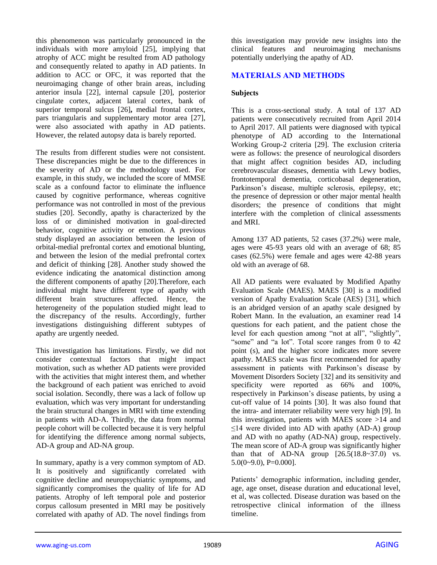this phenomenon was particularly pronounced in the individuals with more amyloid [25], implying that atrophy of ACC might be resulted from AD pathology and consequently related to apathy in AD patients. In addition to ACC or OFC, it was reported that the neuroimaging change of other brain areas, including anterior insula [22], internal capsule [20], posterior cingulate cortex, adjacent lateral cortex, bank of superior temporal sulcus [26]**,** medial frontal cortex, pars triangularis and supplementary motor area [27], were also associated with apathy in AD patients. However, the related autopsy data is barely reported.

The results from different studies were not consistent. These discrepancies might be due to the differences in the severity of AD or the methodology used. For example, in this study, we included the score of MMSE scale as a confound factor to eliminate the influence caused by cognitive performance, whereas cognitive performance was not controlled in most of the previous studies [20]. Secondly, apathy is characterized by the loss of or diminished motivation in goal-directed behavior, cognitive activity or emotion. A previous study displayed an association between the lesion of orbital-medial prefrontal cortex and emotional blunting, and between the lesion of the medial prefrontal cortex and deficit of thinking [28]. Another study showed the evidence indicating the anatomical distinction among the different components of apathy [20].Therefore, each individual might have different type of apathy with different brain structures affected. Hence, the heterogeneity of the population studied might lead to the discrepancy of the results. Accordingly, further investigations distinguishing different subtypes of apathy are urgently needed.

This investigation has limitations. Firstly, we did not consider contextual factors that might impact motivation, such as whether AD patients were provided with the activities that might interest them, and whether the background of each patient was enriched to avoid social isolation. Secondly, there was a lack of follow up evaluation, which was very important for understanding the brain structural changes in MRI with time extending in patients with AD-A. Thirdly, the data from normal people cohort will be collected because it is very helpful for identifying the difference among normal subjects, AD-A group and AD-NA group.

In summary, apathy is a very common symptom of AD. It is positively and significantly correlated with cognitive decline and neuropsychiatric symptoms, and significantly compromises the quality of life for AD patients. Atrophy of left temporal pole and posterior corpus callosum presented in MRI may be positively correlated with apathy of AD. The novel findings from this investigation may provide new insights into the clinical features and neuroimaging mechanisms potentially underlying the apathy of AD.

# **MATERIALS AND METHODS**

#### **Subjects**

This is a cross-sectional study. A total of 137 AD patients were consecutively recruited from April 2014 to April 2017. All patients were diagnosed with typical phenotype of AD according to the International Working Group-2 criteria [29]. The exclusion criteria were as follows: the presence of neurological disorders that might affect cognition besides AD, including cerebrovascular diseases, dementia with Lewy bodies, frontotemporal dementia, corticobasal degeneration, Parkinson's disease, multiple sclerosis, epilepsy, etc; the presence of depression or other major mental health disorders; the presence of conditions that might interfere with the completion of clinical assessments and MRI.

Among 137 AD patients, 52 cases (37.2%) were male, ages were 45-93 years old with an average of 68; 85 cases (62.5%) were female and ages were 42-88 years old with an average of 68.

All AD patients were evaluated by Modified Apathy Evaluation Scale (MAES). MAES [30] is a modified version of Apathy Evaluation Scale (AES) [31], which is an abridged version of an apathy scale designed by Robert Mann. In the evaluation, an examiner read 14 questions for each patient, and the patient chose the level for each question among "not at all", "slightly", "some" and "a lot". Total score ranges from 0 to 42 point (s), and the higher score indicates more severe apathy. MAES scale was first recommended for apathy assessment in patients with Parkinson's disease by Movement Disorders Society [32] and its sensitivity and specificity were reported as 66% and 100%, respectively in Parkinson's disease patients, by using a cut-off value of 14 points [30]. It was also found that the intra- and interrater reliability were very high [9]. In this investigation, patients with MAES score >14 and  $\leq$ 14 were divided into AD with apathy (AD-A) group and AD with no apathy (AD-NA) group, respectively. The mean score of AD-A group was significantly higher than that of AD-NA group  $[26.5(18.8~37.0)$  vs.  $5.0(0-9.0), P=0.000$ ].

Patients' demographic information, including gender, age, age onset, disease duration and educational level, et al, was collected. Disease duration was based on the retrospective clinical information of the illness timeline.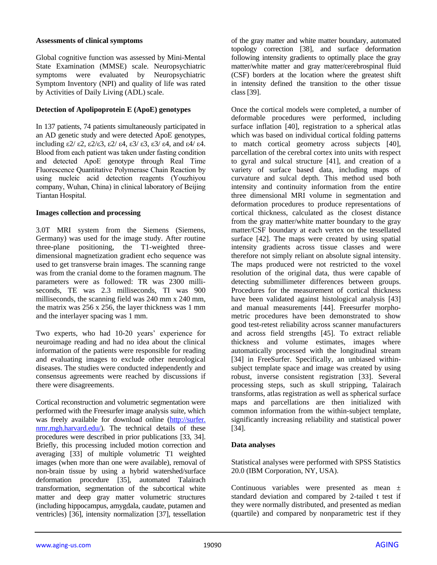#### **Assessments of clinical symptoms**

Global cognitive function was assessed by Mini-Mental State Examination (MMSE) scale. Neuropsychiatric symptoms were evaluated by Neuropsychiatric Symptom Inventory (NPI) and quality of life was rated by Activities of Daily Living (ADL) scale.

## **Detection of Apolipoprotein E (ApoE) genotypes**

In 137 patients, 74 patients simultaneously participated in an AD genetic study and were detected ApoE genotypes, including  $\epsilon$ 2/ $\epsilon$ 2,  $\epsilon$ 2/ $\epsilon$ 3,  $\epsilon$ 2/ $\epsilon$ 4,  $\epsilon$ 3/ $\epsilon$ 3,  $\epsilon$ 3/ $\epsilon$ 4, and  $\epsilon$ 4/ $\epsilon$ 4. Blood from each patient was taken under fasting condition and detected ApoE genotype through Real Time Fluorescence Quantitative Polymerase Chain Reaction by using nucleic acid detection reagents (Youzhiyou company, Wuhan, China) in clinical laboratory of Beijing Tiantan Hospital.

## **Images collection and processing**

3.0T MRI system from the Siemens (Siemens, Germany) was used for the image study. After routine three-plane positioning, the T1-weighted threedimensional magnetization gradient echo sequence was used to get transverse brain images. The scanning range was from the cranial dome to the foramen magnum. The parameters were as followed: TR was 2300 milliseconds, TE was 2.3 milliseconds, TI was 900 milliseconds, the scanning field was 240 mm x 240 mm, the matrix was 256 x 256, the layer thickness was 1 mm and the interlayer spacing was 1 mm.

Two experts, who had 10-20 years' experience for neuroimage reading and had no idea about the clinical information of the patients were responsible for reading and evaluating images to exclude other neurological diseases. The studies were conducted independently and consensus agreements were reached by discussions if there were disagreements.

Cortical reconstruction and volumetric segmentation were performed with the Freesurfer image analysis suite, which was freely available for download online [\(http://surfer.](http://surfer.nmr.mgh.harvard.edu/) [nmr.mgh.harvard.edu/\)](http://surfer.nmr.mgh.harvard.edu/). The technical details of these procedures were described in prior publications [33, 34]. Briefly, this processing included motion correction and averaging [33] of multiple volumetric T1 weighted images (when more than one were available), removal of non-brain tissue by using a hybrid watershed/surface deformation procedure [35], automated Talairach transformation, segmentation of the subcortical white matter and deep gray matter volumetric structures (including hippocampus, amygdala, caudate, putamen and ventricles) [36], intensity normalization [37], tessellation

of the gray matter and white matter boundary, automated topology correction [38], and surface deformation following intensity gradients to optimally place the gray matter/white matter and gray matter/cerebrospinal fluid (CSF) borders at the location where the greatest shift in intensity defined the transition to the other tissue class [39].

Once the cortical models were completed, a number of deformable procedures were performed, including surface inflation [40], registration to a spherical atlas which was based on individual cortical folding patterns to match cortical geometry across subjects [40], parcellation of the cerebral cortex into units with respect to gyral and sulcal structure [41], and creation of a variety of surface based data, including maps of curvature and sulcal depth. This method used both intensity and continuity information from the entire three dimensional MRI volume in segmentation and deformation procedures to produce representations of cortical thickness, calculated as the closest distance from the gray matter/white matter boundary to the gray matter/CSF boundary at each vertex on the tessellated surface [42]. The maps were created by using spatial intensity gradients across tissue classes and were therefore not simply reliant on absolute signal intensity. The maps produced were not restricted to the voxel resolution of the original data, thus were capable of detecting submillimeter differences between groups. Procedures for the measurement of cortical thickness have been validated against histological analysis [43] and manual measurements [44]. Freesurfer morphometric procedures have been demonstrated to show good test-retest reliability across scanner manufacturers and across field strengths [45]. To extract reliable thickness and volume estimates, images where automatically processed with the longitudinal stream [34] in FreeSurfer. Specifically, an unbiased withinsubject template space and image was created by using robust, inverse consistent registration [33]. Several processing steps, such as skull stripping, Talairach transforms, atlas registration as well as spherical surface maps and parcellations are then initialized with common information from the within-subject template, significantly increasing reliability and statistical power [34].

## **Data analyses**

Statistical analyses were performed with SPSS Statistics 20.0 (IBM Corporation, NY, USA).

Continuous variables were presented as mean ± standard deviation and compared by 2-tailed t test if they were normally distributed, and presented as median (quartile) and compared by nonparametric test if they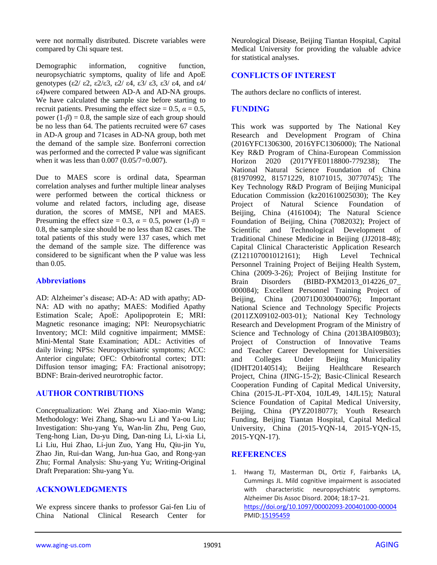were not normally distributed. Discrete variables were compared by Chi square test.

Demographic information, cognitive function, neuropsychiatric symptoms, quality of life and ApoE genotypes (ε2/ ε2, ε2/ε3, ε2/ ε4, ε3/ ε3, ε3/ ε4, and ε4/ ε4)were compared between AD-A and AD-NA groups. We have calculated the sample size before starting to recruit patients. Presuming the effect size =  $0.5$ ,  $\alpha = 0.5$ , power  $(1-\beta) = 0.8$ , the sample size of each group should be no less than 64. The patients recruited were 67 cases in AD-A group and 71cases in AD-NA group, both met the demand of the sample size. Bonferroni correction was performed and the corrected P value was significant when it was less than 0.007 (0.05/7=0.007).

Due to MAES score is ordinal data, Spearman correlation analyses and further multiple linear analyses were performed between the cortical thickness or volume and related factors, including age, disease duration, the scores of MMSE, NPI and MAES. Presuming the effect size = 0.3,  $\alpha = 0.5$ , power  $(1-\beta)$  = 0.8, the sample size should be no less than 82 cases. The total patients of this study were 137 cases, which met the demand of the sample size. The difference was considered to be significant when the P value was less than 0.05.

## **Abbreviations**

AD: Alzheimer's disease; AD-A: AD with apathy; AD-NA: AD with no apathy; MAES: Modified Apathy Estimation Scale; ApoE: Apolipoprotein E; MRI: Magnetic resonance imaging; NPI: Neuropsychiatric Inventory; MCI: Mild cognitive impairment; MMSE: Mini-Mental State Examination; ADL: Activities of daily living; NPSs: Neuropsychiatric symptoms; ACC: Anterior cingulate; OFC: Orbitofrontal cortex; DTI: Diffusion tensor imaging; FA: Fractional anisotropy; BDNF: Brain-derived neurotrophic factor.

# **AUTHOR CONTRIBUTIONS**

Conceptualization: Wei Zhang and Xiao-min Wang; Methodology: Wei Zhang, Shao-wu Li and Ya-ou Liu; Investigation: Shu-yang Yu, Wan-lin Zhu, Peng Guo, Teng-hong Lian, Du-yu Ding, Dan-ning Li, Li-xia Li, Li Liu, Hui Zhao, Li-jun Zuo, Yang Hu, Qiu-jin Yu, Zhao Jin, Rui-dan Wang, Jun-hua Gao, and Rong-yan Zhu; Formal Analysis: Shu-yang Yu; Writing-Original Draft Preparation: Shu-yang Yu.

# **ACKNOWLEDGMENTS**

We express sincere thanks to professor Gai-fen Liu of China National Clinical Research Center for Neurological Disease, Beijing Tiantan Hospital, Capital Medical University for providing the valuable advice for statistical analyses.

## **CONFLICTS OF INTEREST**

The authors declare no conflicts of interest.

## **FUNDING**

This work was supported by The National Key Research and Development Program of China (2016YFC1306300, 2016YFC1306000); The National Key R&D Program of China-European Commission Horizon 2020 (2017YFE0118800-779238); The National Natural Science Foundation of China (81970992, 81571229, 81071015, 30770745); The Key Technology R&D Program of Beijing Municipal Education Commission (kz201610025030); The Key Project of Natural Science Foundation of Beijing, China (4161004); The Natural Science Foundation of Beijing, China (7082032); Project of Scientific and Technological Development of Traditional Chinese Medicine in Beijing (JJ2018-48); Capital Clinical Characteristic Application Research<br>(Z121107001012161); High Level Technical (Z121107001012161); High Level Technical Personnel Training Project of Beijing Health System, China (2009-3-26); Project of Beijing Institute for Brain Disorders (BIBD-PXM2013 014226 07 000084); Excellent Personnel Training Project of Beijing, China (20071D0300400076); Important National Science and Technology Specific Projects (2011ZX09102-003-01); National Key Technology Research and Development Program of the Ministry of Science and Technology of China (2013BAI09B03); Project of Construction of Innovative Teams and Teacher Career Development for Universities and Colleges Under Beijing Municipality (IDHT20140514); Beijing Healthcare Research Project, China (JING-15-2); Basic-Clinical Research Cooperation Funding of Capital Medical University, China (2015-JL-PT-X04, 10JL49, 14JL15); Natural Science Foundation of Capital Medical University, Beijing, China (PYZ2018077); Youth Research Funding, Beijing Tiantan Hospital, Capital Medical University, China (2015-YQN-14, 2015-YQN-15, 2015-YQN-17).

# **REFERENCES**

1. Hwang TJ, Masterman DL, Ortiz F, Fairbanks LA, Cummings JL. Mild cognitive impairment is associated with characteristic neuropsychiatric symptoms. Alzheimer Dis Assoc Disord. 2004; 18:17–21. <https://doi.org/10.1097/00002093-200401000-00004> PMI[D:15195459](https://pubmed.ncbi.nlm.nih.gov/15195459)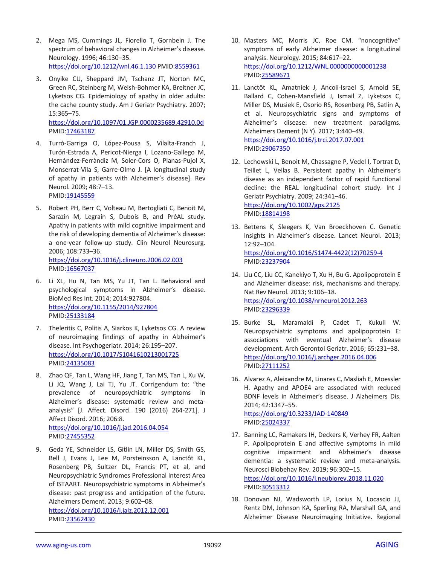- 2. Mega MS, Cummings JL, Fiorello T, Gornbein J. The spectrum of behavioral changes in Alzheimer's disease. Neurology. 1996; 46:130–35. <https://doi.org/10.1212/wnl.46.1.130> PMID[:8559361](https://pubmed.ncbi.nlm.nih.gov/8559361)
- 3. Onyike CU, Sheppard JM, Tschanz JT, Norton MC, Green RC, Steinberg M, Welsh-Bohmer KA, Breitner JC, Lyketsos CG. Epidemiology of apathy in older adults: the cache county study. Am J Geriatr Psychiatry. 2007; 15:365–75. <https://doi.org/10.1097/01.JGP.0000235689.42910.0d>

PMID[:17463187](https://pubmed.ncbi.nlm.nih.gov/17463187)

- 4. Turró-Garriga O, López-Pousa S, Vilalta-Franch J, Turón-Estrada A, Pericot-Nierga I, Lozano-Gallego M, Hernández-Ferràndiz M, Soler-Cors O, Planas-Pujol X, Monserrat-Vila S, Garre-Olmo J. [A longitudinal study of apathy in patients with Alzheimer's disease]. Rev Neurol. 2009; 48:7–13. PMID[:19145559](https://pubmed.ncbi.nlm.nih.gov/19145559)
- 5. Robert PH, Berr C, Volteau M, Bertogliati C, Benoit M, Sarazin M, Legrain S, Dubois B, and PréAL study. Apathy in patients with mild cognitive impairment and the risk of developing dementia of Alzheimer's disease: a one-year follow-up study. Clin Neurol Neurosurg. 2006; 108:733–36. <https://doi.org/10.1016/j.clineuro.2006.02.003> PMID[:16567037](https://pubmed.ncbi.nlm.nih.gov/16567037)
- 6. Li XL, Hu N, Tan MS, Yu JT, Tan L. Behavioral and psychological symptoms in Alzheimer's disease. BioMed Res Int. 2014; 2014:927804. <https://doi.org/10.1155/2014/927804> PMID[:25133184](https://pubmed.ncbi.nlm.nih.gov/25133184)
- 7. Theleritis C, Politis A, Siarkos K, Lyketsos CG. A review of neuroimaging findings of apathy in Alzheimer's disease. Int Psychogeriatr. 2014; 26:195–207. <https://doi.org/10.1017/S1041610213001725> PMID[:24135083](https://pubmed.ncbi.nlm.nih.gov/24135083)
- 8. Zhao QF, Tan L, Wang HF, Jiang T, Tan MS, Tan L, Xu W, Li JQ, Wang J, Lai TJ, Yu JT. Corrigendum to: "the prevalence of neuropsychiatric symptoms in Alzheimer's disease: systematic review and metaanalysis" [J. Affect. Disord. 190 (2016) 264-271]. J Affect Disord. 2016; 206:8. <https://doi.org/10.1016/j.jad.2016.04.054>

PMID[:27455352](https://pubmed.ncbi.nlm.nih.gov/27455352)

9. Geda YE, Schneider LS, Gitlin LN, Miller DS, Smith GS, Bell J, Evans J, Lee M, Porsteinsson A, Lanctôt KL, Rosenberg PB, Sultzer DL, Francis PT, et al, and Neuropsychiatric Syndromes Professional Interest Area of ISTAART. Neuropsychiatric symptoms in Alzheimer's disease: past progress and anticipation of the future. Alzheimers Dement. 2013; 9:602–08.

<https://doi.org/10.1016/j.jalz.2012.12.001> PMID[:23562430](https://pubmed.ncbi.nlm.nih.gov/23562430)

- 10. Masters MC, Morris JC, Roe CM. "noncognitive" symptoms of early Alzheimer disease: a longitudinal analysis. Neurology. 2015; 84:617–22. <https://doi.org/10.1212/WNL.0000000000001238> PMI[D:25589671](https://pubmed.ncbi.nlm.nih.gov/25589671)
- 11. Lanctôt KL, Amatniek J, Ancoli-Israel S, Arnold SE, Ballard C, Cohen-Mansfield J, Ismail Z, Lyketsos C, Miller DS, Musiek E, Osorio RS, Rosenberg PB, Satlin A, et al. Neuropsychiatric signs and symptoms of Alzheimer's disease: new treatment paradigms. Alzheimers Dement (N Y). 2017; 3:440–49. <https://doi.org/10.1016/j.trci.2017.07.001> PMI[D:29067350](https://pubmed.ncbi.nlm.nih.gov/29067350)
- 12. Lechowski L, Benoit M, Chassagne P, Vedel I, Tortrat D, Teillet L, Vellas B. Persistent apathy in Alzheimer's disease as an independent factor of rapid functional decline: the REAL longitudinal cohort study. Int J Geriatr Psychiatry. 2009; 24:341–46. <https://doi.org/10.1002/gps.2125> PMI[D:18814198](https://pubmed.ncbi.nlm.nih.gov/18814198)
- 13. Bettens K, Sleegers K, Van Broeckhoven C. Genetic insights in Alzheimer's disease. Lancet Neurol. 2013; 12:92–104. [https://doi.org/10.1016/S1474-4422\(12\)70259-4](https://doi.org/10.1016/S1474-4422(12)70259-4) PMI[D:23237904](https://pubmed.ncbi.nlm.nih.gov/23237904)
- 14. Liu CC, Liu CC, Kanekiyo T, Xu H, Bu G. Apolipoprotein E and Alzheimer disease: risk, mechanisms and therapy. Nat Rev Neurol. 2013; 9:106–18. <https://doi.org/10.1038/nrneurol.2012.263> PMI[D:23296339](https://pubmed.ncbi.nlm.nih.gov/23296339)
- 15. Burke SL, Maramaldi P, Cadet T, Kukull W. Neuropsychiatric symptoms and apolipoprotein E: associations with eventual Alzheimer's disease development. Arch Gerontol Geriatr. 2016; 65:231–38. <https://doi.org/10.1016/j.archger.2016.04.006> PMI[D:27111252](https://pubmed.ncbi.nlm.nih.gov/27111252)
- 16. Alvarez A, Aleixandre M, Linares C, Masliah E, Moessler H. Apathy and APOE4 are associated with reduced BDNF levels in Alzheimer's disease. J Alzheimers Dis. 2014; 42:1347–55. <https://doi.org/10.3233/JAD-140849> PMI[D:25024337](https://pubmed.ncbi.nlm.nih.gov/25024337)
- 17. Banning LC, Ramakers IH, Deckers K, Verhey FR, Aalten P. Apolipoprotein E and affective symptoms in mild cognitive impairment and Alzheimer's disease dementia: a systematic review and meta-analysis. Neurosci Biobehav Rev. 2019; 96:302–15. <https://doi.org/10.1016/j.neubiorev.2018.11.020> PMI[D:30513312](https://pubmed.ncbi.nlm.nih.gov/30513312)
- 18. Donovan NJ, Wadsworth LP, Lorius N, Locascio JJ, Rentz DM, Johnson KA, Sperling RA, Marshall GA, and Alzheimer Disease Neuroimaging Initiative. Regional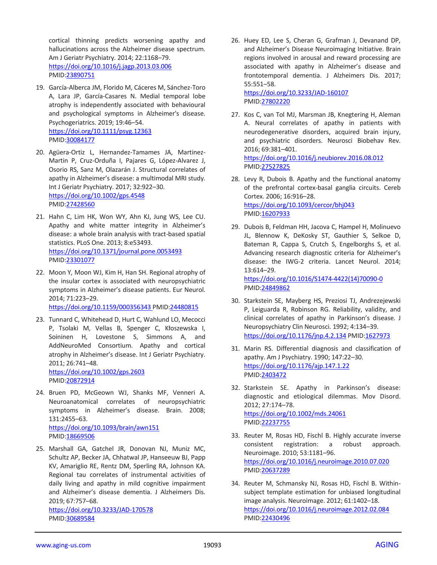cortical thinning predicts worsening apathy and hallucinations across the Alzheimer disease spectrum. Am J Geriatr Psychiatry. 2014; 22:1168–79. <https://doi.org/10.1016/j.jagp.2013.03.006> PMID[:23890751](https://pubmed.ncbi.nlm.nih.gov/23890751)

- 19. García-Alberca JM, Florido M, Cáceres M, Sánchez-Toro A, Lara JP, García-Casares N. Medial temporal lobe atrophy is independently associated with behavioural and psychological symptoms in Alzheimer's disease. Psychogeriatrics. 2019; 19:46–54. <https://doi.org/10.1111/psyg.12363> PMID[:30084177](https://pubmed.ncbi.nlm.nih.gov/30084177)
- 20. Agüera-Ortiz L, Hernandez-Tamames JA, Martinez-Martin P, Cruz-Orduña I, Pajares G, López-Alvarez J, Osorio RS, Sanz M, Olazarán J. Structural correlates of apathy in Alzheimer's disease: a multimodal MRI study. Int J Geriatr Psychiatry. 2017; 32:922–30. <https://doi.org/10.1002/gps.4548> PMID[:27428560](https://pubmed.ncbi.nlm.nih.gov/27428560)
- 21. Hahn C, Lim HK, Won WY, Ahn KJ, Jung WS, Lee CU. Apathy and white matter integrity in Alzheimer's disease: a whole brain analysis with tract-based spatial statistics. PLoS One. 2013; 8:e53493. <https://doi.org/10.1371/journal.pone.0053493> PMID[:23301077](https://pubmed.ncbi.nlm.nih.gov/23301077)
- 22. Moon Y, Moon WJ, Kim H, Han SH. Regional atrophy of the insular cortex is associated with neuropsychiatric symptoms in Alzheimer's disease patients. Eur Neurol. 2014; 71:223–29.

<https://doi.org/10.1159/000356343> PMID[:24480815](https://pubmed.ncbi.nlm.nih.gov/24480815)

23. Tunnard C, Whitehead D, Hurt C, Wahlund LO, Mecocci P, Tsolaki M, Vellas B, Spenger C, Kłoszewska I, Soininen H, Lovestone S, Simmons A, and AddNeuroMed Consortium. Apathy and cortical atrophy in Alzheimer's disease. Int J Geriatr Psychiatry. 2011; 26:741–48. <https://doi.org/10.1002/gps.2603>

PMID[:20872914](https://pubmed.ncbi.nlm.nih.gov/20872914)

- 24. Bruen PD, McGeown WJ, Shanks MF, Venneri A. Neuroanatomical correlates of neuropsychiatric symptoms in Alzheimer's disease. Brain. 2008; 131:2455–63. <https://doi.org/10.1093/brain/awn151> PMID[:18669506](https://pubmed.ncbi.nlm.nih.gov/18669506)
- 25. Marshall GA, Gatchel JR, Donovan NJ, Muniz MC, Schultz AP, Becker JA, Chhatwal JP, Hanseeuw BJ, Papp KV, Amariglio RE, Rentz DM, Sperling RA, Johnson KA. Regional tau correlates of instrumental activities of daily living and apathy in mild cognitive impairment and Alzheimer's disease dementia. J Alzheimers Dis. 2019; 67:757–68. <https://doi.org/10.3233/JAD-170578>

PMID[:30689584](https://pubmed.ncbi.nlm.nih.gov/30689584)

26. Huey ED, Lee S, Cheran G, Grafman J, Devanand DP, and Alzheimer's Disease Neuroimaging Initiative. Brain regions involved in arousal and reward processing are associated with apathy in Alzheimer's disease and frontotemporal dementia. J Alzheimers Dis. 2017; 55:551–58.

<https://doi.org/10.3233/JAD-160107> PMI[D:27802220](https://pubmed.ncbi.nlm.nih.gov/27802220)

27. Kos C, van Tol MJ, Marsman JB, Knegtering H, Aleman A. Neural correlates of apathy in patients with neurodegenerative disorders, acquired brain injury, and psychiatric disorders. Neurosci Biobehav Rev. 2016; 69:381–401.

<https://doi.org/10.1016/j.neubiorev.2016.08.012> PMI[D:27527825](https://pubmed.ncbi.nlm.nih.gov/27527825)

- 28. Levy R, Dubois B. Apathy and the functional anatomy of the prefrontal cortex-basal ganglia circuits. Cereb Cortex. 2006; 16:916–28. <https://doi.org/10.1093/cercor/bhj043> PMI[D:16207933](https://pubmed.ncbi.nlm.nih.gov/16207933)
- 29. Dubois B, Feldman HH, Jacova C, Hampel H, Molinuevo JL, Blennow K, DeKosky ST, Gauthier S, Selkoe D, Bateman R, Cappa S, Crutch S, Engelborghs S, et al. Advancing research diagnostic criteria for Alzheimer's disease: the IWG-2 criteria. Lancet Neurol. 2014; 13:614–29. [https://doi.org/10.1016/S1474-4422\(14\)70090-0](https://doi.org/10.1016/S1474-4422(14)70090-0)

PMI[D:24849862](https://pubmed.ncbi.nlm.nih.gov/24849862)

- 30. Starkstein SE, Mayberg HS, Preziosi TJ, Andrezejewski P, Leiguarda R, Robinson RG. Reliability, validity, and clinical correlates of apathy in Parkinson's disease. J Neuropsychiatry Clin Neurosci. 1992; 4:134–39. <https://doi.org/10.1176/jnp.4.2.134> PMID[:1627973](https://pubmed.ncbi.nlm.nih.gov/1627973)
- 31. Marin RS. Differential diagnosis and classification of apathy. Am J Psychiatry. 1990; 147:22–30. <https://doi.org/10.1176/ajp.147.1.22> PMI[D:2403472](https://pubmed.ncbi.nlm.nih.gov/2403472)
- 32. Starkstein SE. Apathy in Parkinson's disease: diagnostic and etiological dilemmas. Mov Disord. 2012; 27:174–78. <https://doi.org/10.1002/mds.24061> PMI[D:22237755](https://pubmed.ncbi.nlm.nih.gov/22237755)
- 33. Reuter M, Rosas HD, Fischl B. Highly accurate inverse consistent registration: a robust approach. Neuroimage. 2010; 53:1181–96. <https://doi.org/10.1016/j.neuroimage.2010.07.020> PMI[D:20637289](https://pubmed.ncbi.nlm.nih.gov/20637289)
- 34. Reuter M, Schmansky NJ, Rosas HD, Fischl B. Withinsubject template estimation for unbiased longitudinal image analysis. Neuroimage. 2012; 61:1402–18. <https://doi.org/10.1016/j.neuroimage.2012.02.084> PMI[D:22430496](https://pubmed.ncbi.nlm.nih.gov/22430496)